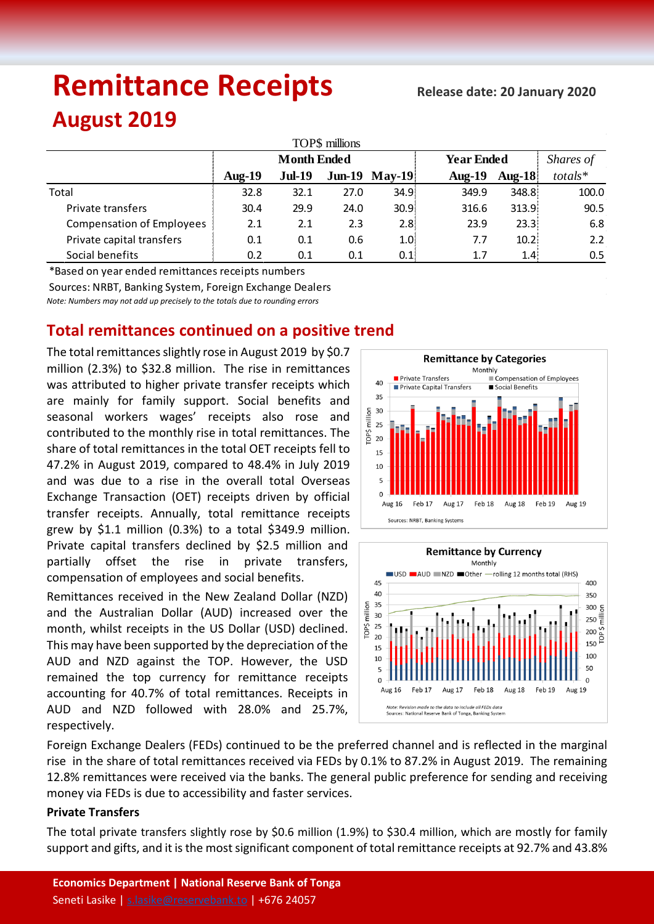# **Remittance Receipts**

 **Release date: 20 January 2020**

## **August 2019**

| TOP\$ millions                   |                    |               |      |                      |                   |           |           |  |  |  |  |  |
|----------------------------------|--------------------|---------------|------|----------------------|-------------------|-----------|-----------|--|--|--|--|--|
|                                  | <b>Month Ended</b> |               |      |                      | <b>Year Ended</b> | Shares of |           |  |  |  |  |  |
|                                  | $Aug-19$           | <b>Jul-19</b> |      | <b>Jun-19 May-19</b> | Aug- $19$         | Aug- $18$ | $totals*$ |  |  |  |  |  |
| Total                            | 32.8               | 32.1          | 27.0 | 34.9:                | 349.9             | 348.8     | 100.0     |  |  |  |  |  |
| Private transfers                | 30.4               | 29.9          | 24.0 | 30.9:                | 316.6             | 313.9     | 90.5      |  |  |  |  |  |
| <b>Compensation of Employees</b> | 2.1                | 2.1           | 2.3  | 2.8:                 | 23.9              | 23.3      | 6.8       |  |  |  |  |  |
| Private capital transfers        | 0.1                | 0.1           | 0.6  | 1.0.                 | 7.7               | 10.2      | 2.2       |  |  |  |  |  |
| Social benefits                  | 0.2                | 0.1           | 0.1  | 0.1                  | 1.7               | 1.4       | 0.5       |  |  |  |  |  |

\*Based on year ended remittances receipts numbers

Sources: NRBT, Banking System, Foreign Exchange Dealers

*Note: Numbers may not add up precisely to the totals due to rounding errors*

### **Total remittances continued on a positive trend**

The total remittances slightly rose in August 2019 by \$0.7 million (2.3%) to \$32.8 million. The rise in remittances was attributed to higher private transfer receipts which are mainly for family support. Social benefits and seasonal workers wages' receipts also rose and contributed to the monthly rise in total remittances. The share of total remittances in the total OET receipts fell to 47.2% in August 2019, compared to 48.4% in July 2019 and was due to a rise in the overall total Overseas Exchange Transaction (OET) receipts driven by official transfer receipts. Annually, total remittance receipts grew by \$1.1 million (0.3%) to a total \$349.9 million. Private capital transfers declined by \$2.5 million and partially offset the rise in private transfers, compensation of employees and social benefits.

Remittances received in the New Zealand Dollar (NZD) and the Australian Dollar (AUD) increased over the month, whilst receipts in the US Dollar (USD) declined. This may have been supported by the depreciation of the AUD and NZD against the TOP. However, the USD remained the top currency for remittance receipts accounting for 40.7% of total remittances. Receipts in AUD and NZD followed with 28.0% and 25.7%, respectively.





Foreign Exchange Dealers (FEDs) continued to be the preferred channel and is reflected in the marginal rise in the share of total remittances received via FEDs by 0.1% to 87.2% in August 2019. The remaining 12.8% remittances were received via the banks. The general public preference for sending and receiving money via FEDs is due to accessibility and faster services.

#### **Private Transfers**

The total private transfers slightly rose by \$0.6 million (1.9%) to \$30.4 million, which are mostly for family support and gifts, and it is the most significant component of total remittance receipts at 92.7% and 43.8%